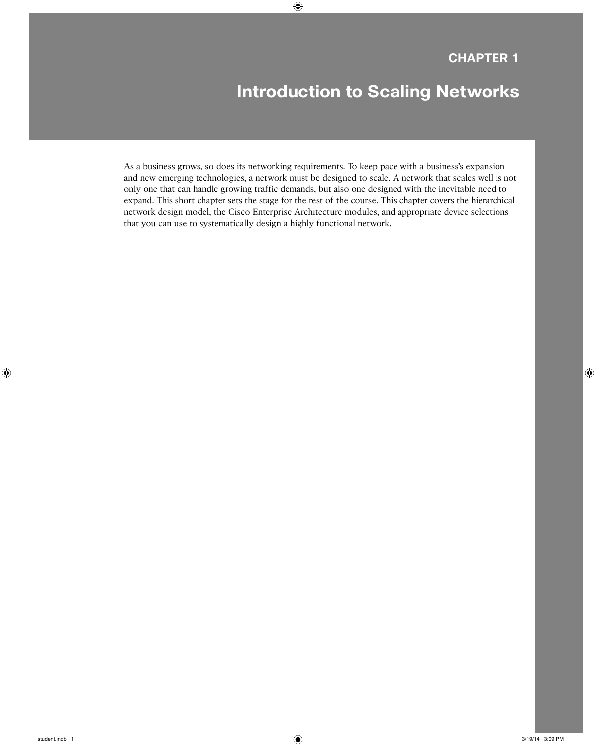# **Introduction to Scaling Networks**

As a business grows, so does its networking requirements. To keep pace with a business's expansion and new emerging technologies, a network must be designed to scale. A network that scales well is not only one that can handle growing traffic demands, but also one designed with the inevitable need to expand. This short chapter sets the stage for the rest of the course. This chapter covers the hierarchical network design model, the Cisco Enterprise Architecture modules, and appropriate device selections that you can use to systematically design a highly functional network.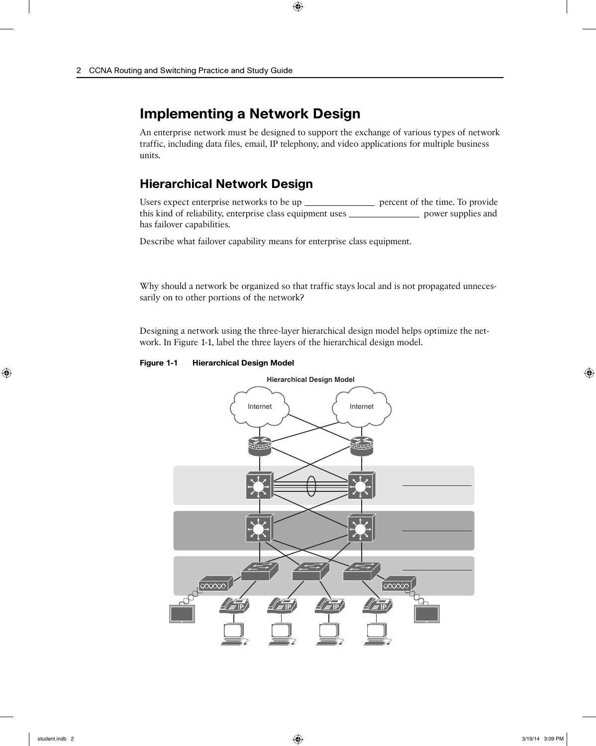# **Implementing a Network Design**

An enterprise network must be designed to support the exchange of various types of network traffic, including data files, email, IP telephony, and video applications for multiple business units.

#### **Hierarchical Network Design**

Users expect enterprise networks to be up \_\_\_\_\_\_\_\_\_\_\_\_\_\_\_\_ percent of the time. To provide this kind of reliability, enterprise class equipment uses \_\_\_\_\_\_\_\_\_\_\_\_\_\_\_\_\_\_ power supplies and has failover capabilities.

Describe what failover capability means for enterprise class equipment.

Why should a network be organized so that traffic stays local and is not propagated unnecessarily on to other portions of the network?

Designing a network using the three-layer hierarchical design model helps optimize the network. In Figure 1-1, label the three layers of the hierarchical design model.

**Figure 1-1 Hierarchical Design Model**

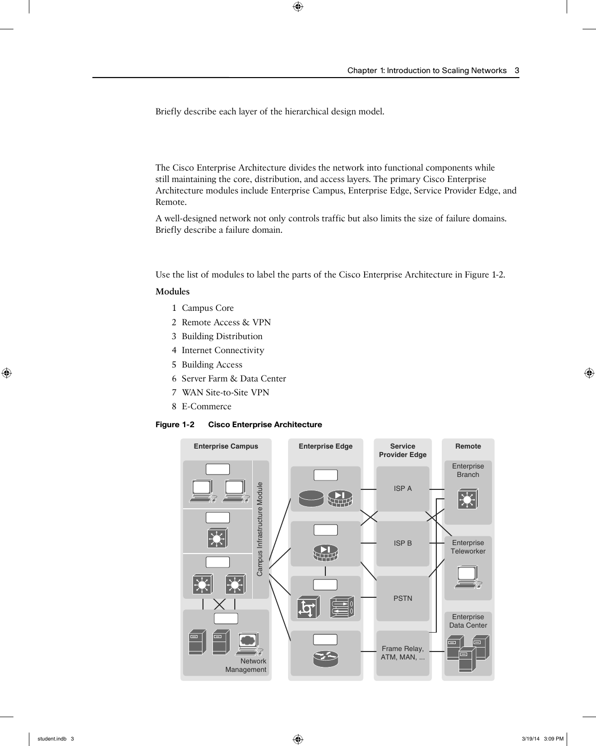Briefly describe each layer of the hierarchical design model.

The Cisco Enterprise Architecture divides the network into functional components while still maintaining the core, distribution, and access layers. The primary Cisco Enterprise Architecture modules include Enterprise Campus, Enterprise Edge, Service Provider Edge, and Remote.

A well-designed network not only controls traffic but also limits the size of failure domains. Briefly describe a failure domain.

Use the list of modules to label the parts of the Cisco Enterprise Architecture in Figure 1-2.

#### **Modules**

- 1 Campus Core
- 2 Remote Access & VPN
- 3 Building Distribution
- 4 Internet Connectivity
- 5 Building Access
- 6 Server Farm & Data Center
- 7 WAN Site-to-Site VPN
- 8 E-Commerce

#### **Figure 1-2 Cisco Enterprise Architecture**

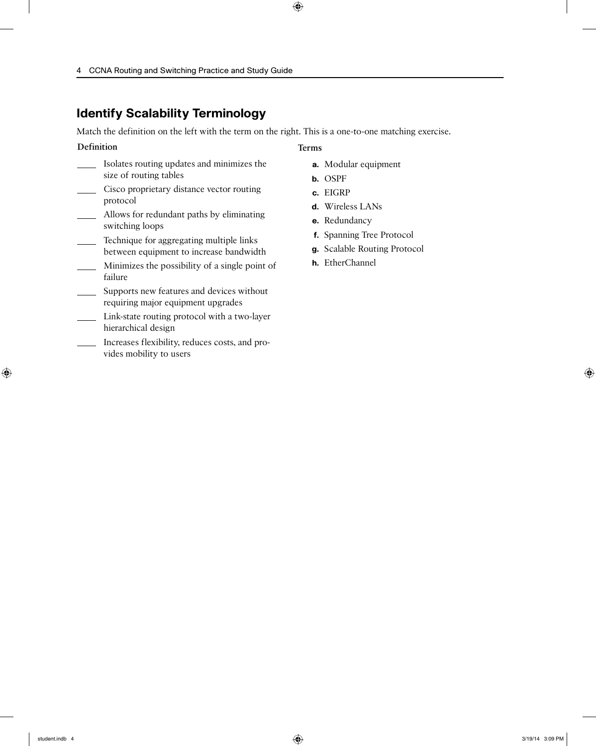#### **Identify Scalability Terminology**

Match the definition on the left with the term on the right. This is a one-to-one matching exercise.

#### **Definition**

- Isolates routing updates and minimizes the size of routing tables
- **Cisco proprietary distance vector routing** protocol
- Allows for redundant paths by eliminating switching loops
- Technique for aggregating multiple links between equipment to increase bandwidth
- Minimizes the possibility of a single point of failure
- Supports new features and devices without requiring major equipment upgrades
- Link-state routing protocol with a two-layer hierarchical design
- Increases flexibility, reduces costs, and provides mobility to users
- **a.** Modular equipment
- **b.** OSPF

**Terms**

- **c.** EIGRP
- **d.** Wireless LANs
- **e.** Redundancy
- **f.** Spanning Tree Protocol
- **g.** Scalable Routing Protocol
- **h.** EtherChannel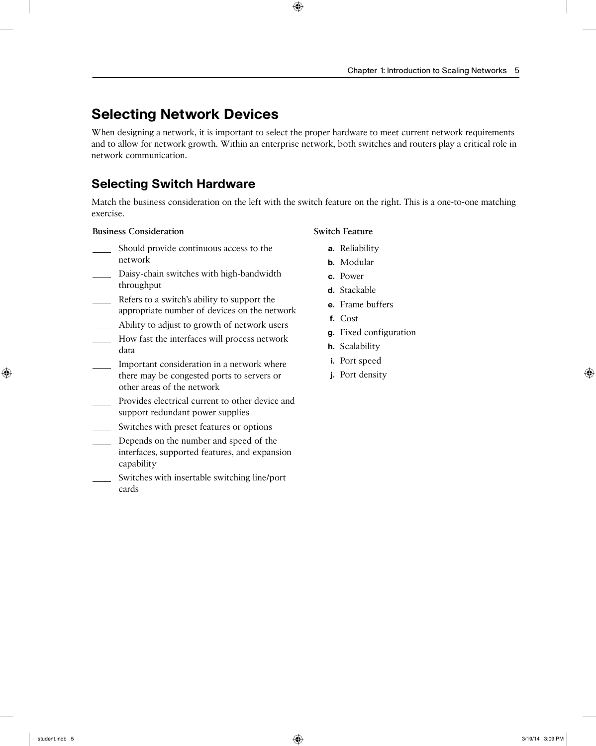# **Selecting Network Devices**

When designing a network, it is important to select the proper hardware to meet current network requirements and to allow for network growth. Within an enterprise network, both switches and routers play a critical role in network communication.

# **Selecting Switch Hardware**

Match the business consideration on the left with the switch feature on the right. This is a one-to-one matching exercise.

#### **Business Consideration**

- Should provide continuous access to the network
- Daisy-chain switches with high-bandwidth throughput
- Refers to a switch's ability to support the appropriate number of devices on the network
- Ability to adjust to growth of network users
- How fast the interfaces will process network data
- Important consideration in a network where there may be congested ports to servers or other areas of the network
- Provides electrical current to other device and support redundant power supplies
- **Switches with preset features or options**
- Depends on the number and speed of the interfaces, supported features, and expansion capability
- Switches with insertable switching line/port cards

#### **Switch Feature**

- **a.** Reliability
- **b.** Modular
- **c.** Power
- **d.** Stackable
- **e.** Frame buffers
- **f.** Cost
- **g.** Fixed configuration
- **h.** Scalability
- **i.** Port speed
- **j.** Port density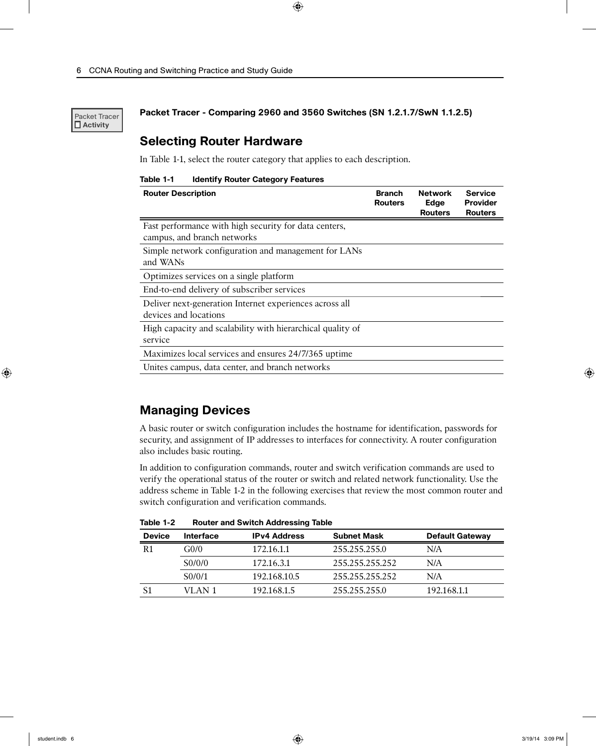Packet Tracer  **Activity**

**Packet Tracer - Comparing 2960 and 3560 Switches (SN 1.2.1.7/SwN 1.1.2.5)**

#### **Selecting Router Hardware**

In Table 1-1, select the router category that applies to each description.

| Table 1-1 |  |  | <b>Identify Router Category Features</b> |  |
|-----------|--|--|------------------------------------------|--|
|-----------|--|--|------------------------------------------|--|

| <b>Router Description</b>                                                            | <b>Branch</b><br><b>Routers</b> | <b>Network</b><br>Edge<br><b>Routers</b> | <b>Service</b><br><b>Provider</b><br><b>Routers</b> |
|--------------------------------------------------------------------------------------|---------------------------------|------------------------------------------|-----------------------------------------------------|
| Fast performance with high security for data centers,<br>campus, and branch networks |                                 |                                          |                                                     |
| Simple network configuration and management for LANs<br>and WANs                     |                                 |                                          |                                                     |
| Optimizes services on a single platform                                              |                                 |                                          |                                                     |
| End-to-end delivery of subscriber services                                           |                                 |                                          |                                                     |
| Deliver next-generation Internet experiences across all<br>devices and locations     |                                 |                                          |                                                     |
| High capacity and scalability with hierarchical quality of<br>service                |                                 |                                          |                                                     |
| Maximizes local services and ensures 24/7/365 uptime                                 |                                 |                                          |                                                     |
| Unites campus, data center, and branch networks                                      |                                 |                                          |                                                     |

#### **Managing Devices**

A basic router or switch configuration includes the hostname for identification, passwords for security, and assignment of IP addresses to interfaces for connectivity. A router configuration also includes basic routing.

In addition to configuration commands, router and switch verification commands are used to verify the operational status of the router or switch and related network functionality. Use the address scheme in Table 1-2 in the following exercises that review the most common router and switch configuration and verification commands.

| <b>Device</b>  | <b>Interface</b>    | <b>IPv4 Address</b> | <b>Subnet Mask</b> | <b>Default Gateway</b> |
|----------------|---------------------|---------------------|--------------------|------------------------|
| R <sub>1</sub> | G <sub>0</sub> /0   | 172.16.1.1          | 255.255.255.0      | N/A                    |
|                | S <sub>0</sub> /0/0 | 172.16.3.1          | 255.255.255.252    | N/A                    |
|                | S <sub>0</sub> /0/1 | 192.168.10.5        | 255.255.255.252    | N/A                    |
|                | VLAN 1              | 192.168.1.5         | 255.255.255.0      | 192.168.1.1            |

**Table 1-2 Router and Switch Addressing Table**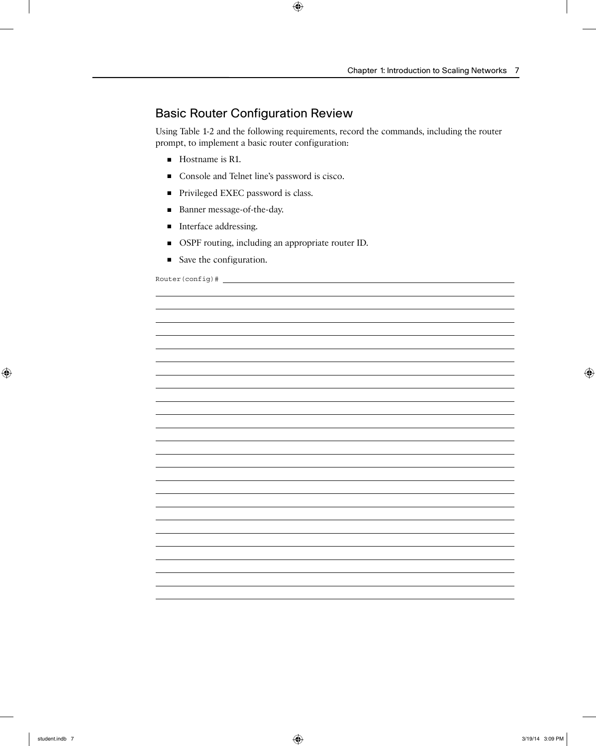### Basic Router Configuration Review

Using Table 1-2 and the following requirements, record the commands, including the router prompt, to implement a basic router configuration:

- Hostname is R1.
- Console and Telnet line's password is cisco.
- Privileged EXEC password is class.
- Banner message-of-the-day.
- Interface addressing.
- OSPF routing, including an appropriate router ID.
- Save the configuration.

Router(config)#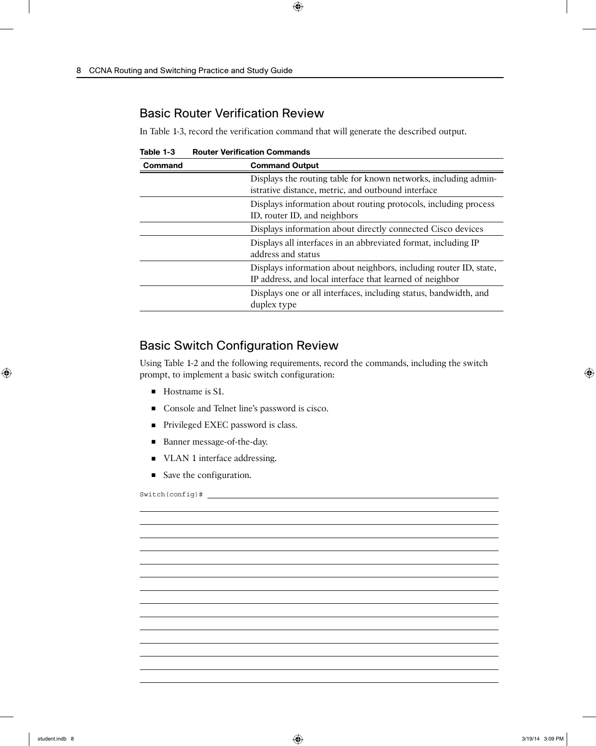### Basic Router Verification Review

In Table 1-3, record the verification command that will generate the described output.

**Table 1-3 Router Verification Commands**

| Command | <b>Command Output</b>                                                                                                         |
|---------|-------------------------------------------------------------------------------------------------------------------------------|
|         | Displays the routing table for known networks, including admin-<br>istrative distance, metric, and outbound interface         |
|         | Displays information about routing protocols, including process<br>ID, router ID, and neighbors                               |
|         | Displays information about directly connected Cisco devices                                                                   |
|         | Displays all interfaces in an abbreviated format, including IP<br>address and status                                          |
|         | Displays information about neighbors, including router ID, state,<br>IP address, and local interface that learned of neighbor |
|         | Displays one or all interfaces, including status, bandwidth, and<br>duplex type                                               |

### Basic Switch Configuration Review

Using Table 1-2 and the following requirements, record the commands, including the switch prompt, to implement a basic switch configuration:

- Hostname is S1.
- Console and Telnet line's password is cisco.
- Privileged EXEC password is class.
- Banner message-of-the-day.
- VLAN 1 interface addressing.
- Save the configuration.

Switch(config)#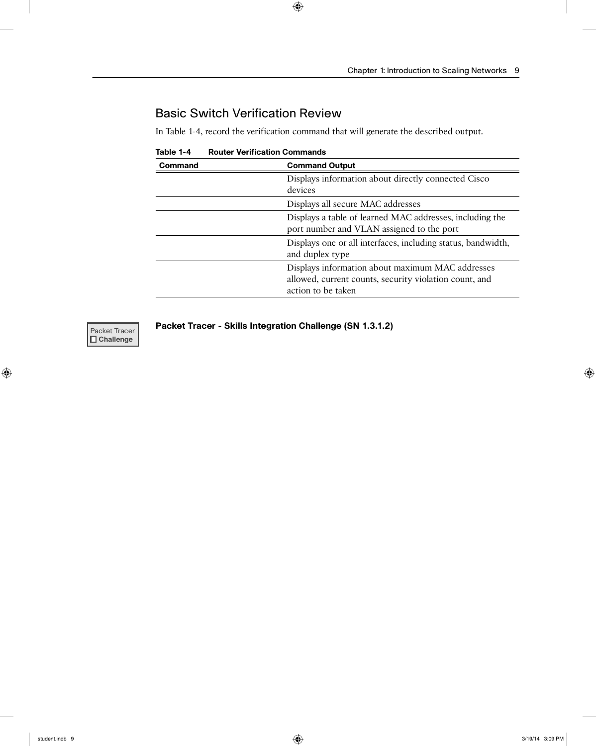## Basic Switch Verification Review

In Table 1-4, record the verification command that will generate the described output.

| 1901e 1-4 | Router vernication Commands                                  |
|-----------|--------------------------------------------------------------|
| Command   | <b>Command Output</b>                                        |
|           | Displays information about directly connected Cisco          |
|           | devices                                                      |
|           | Displays all secure MAC addresses                            |
|           | Displays a table of learned MAC addresses, including the     |
|           | port number and VLAN assigned to the port                    |
|           | Displays one or all interfaces, including status, bandwidth, |
|           | and duplex type                                              |
|           | Displays information about maximum MAC addresses             |
|           | allowed, current counts, security violation count, and       |
|           | action to be taken                                           |

**Table 1-4 Router Verification Commands**



**Packet Tracer | Packet Tracer - Skills Integration Challenge (SN 1.3.1.2)**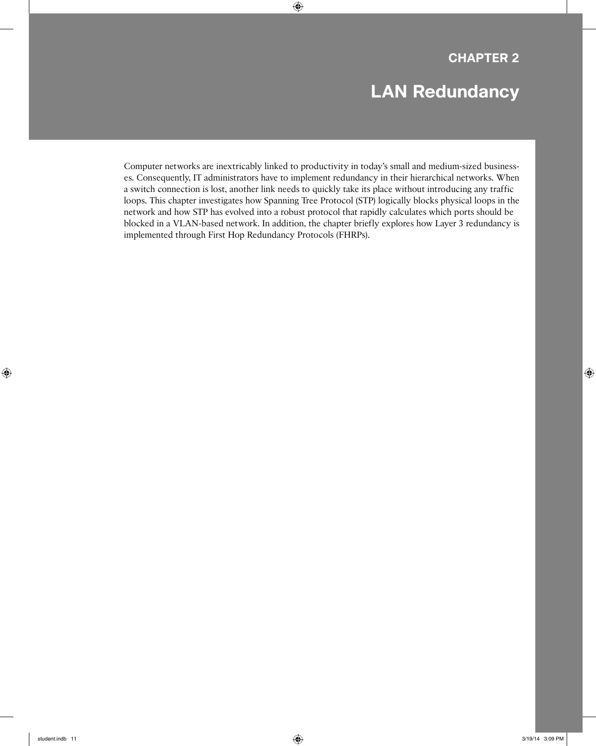# **LAN Redundancy**

Computer networks are inextricably linked to productivity in today's small and medium-sized businesses. Consequently, IT administrators have to implement redundancy in their hierarchical networks. When a switch connection is lost, another link needs to quickly take its place without introducing any traffic loops. This chapter investigates how Spanning Tree Protocol (STP) logically blocks physical loops in the network and how STP has evolved into a robust protocol that rapidly calculates which ports should be blocked in a VLAN-based network. In addition, the chapter briefly explores how Layer 3 redundancy is implemented through First Hop Redundancy Protocols (FHRPs).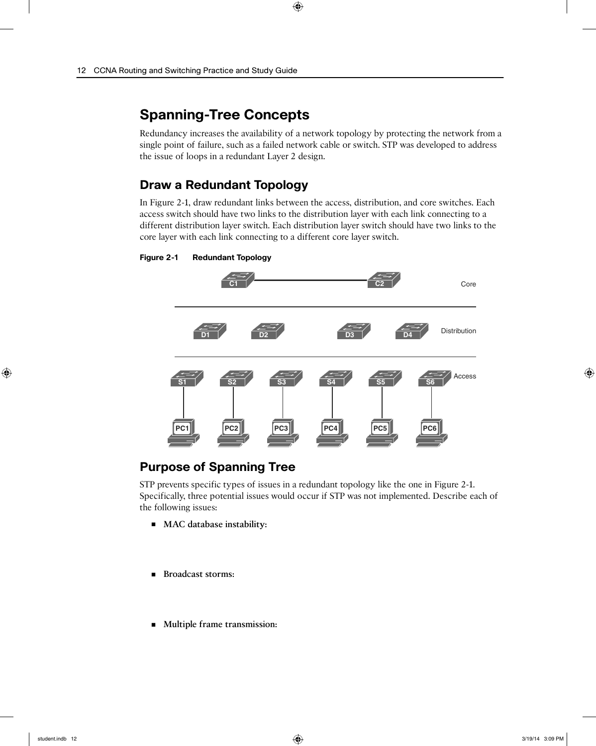# **Spanning-Tree Concepts**

Redundancy increases the availability of a network topology by protecting the network from a single point of failure, such as a failed network cable or switch. STP was developed to address the issue of loops in a redundant Layer 2 design.

### **Draw a Redundant Topology**

In Figure 2-1, draw redundant links between the access, distribution, and core switches. Each access switch should have two links to the distribution layer with each link connecting to a different distribution layer switch. Each distribution layer switch should have two links to the core layer with each link connecting to a different core layer switch.

#### **Figure 2-1 Redundant Topology**



### **Purpose of Spanning Tree**

STP prevents specific types of issues in a redundant topology like the one in Figure 2-1. Specifically, three potential issues would occur if STP was not implemented. Describe each of the following issues:

- **MAC** database instability:
- **Broadcast storms:**
- **Multiple frame transmission:**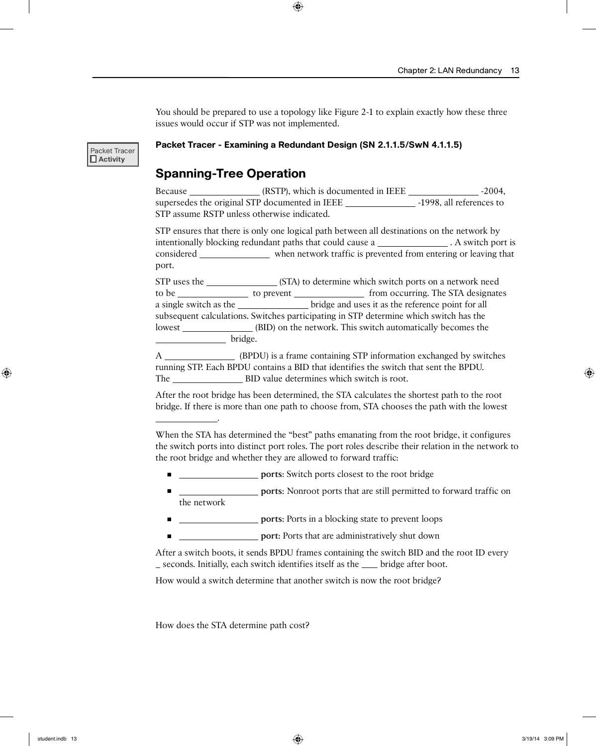You should be prepared to use a topology like Figure 2-1 to explain exactly how these three issues would occur if STP was not implemented.

Packet Tracer  **Activity**

#### **Packet Tracer - Examining a Redundant Design (SN 2.1.1.5/SwN 4.1.1.5)**

#### **Spanning-Tree Operation**

Because \_\_\_\_\_\_\_\_\_\_\_\_\_\_\_\_ (RSTP), which is documented in IEEE \_\_\_\_\_\_\_\_\_\_\_\_\_\_\_\_\_\_-2004, supersedes the original STP documented in IEEE -1998, all references to STP assume RSTP unless otherwise indicated.

STP ensures that there is only one logical path between all destinations on the network by intentionally blocking redundant paths that could cause a . A switch port is considered when network traffic is prevented from entering or leaving that port.

STP uses the (STA) to determine which switch ports on a network need to be \_\_\_\_\_\_\_\_\_\_\_\_\_\_\_\_ to prevent \_\_\_\_\_\_\_\_\_\_\_\_\_\_\_\_\_\_ from occurring. The STA designates a single switch as the bridge and uses it as the reference point for all subsequent calculations. Switches participating in STP determine which switch has the lowest (BID) on the network. This switch automatically becomes the bridge.

A (BPDU) is a frame containing STP information exchanged by switches running STP. Each BPDU contains a BID that identifies the switch that sent the BPDU. The BID value determines which switch is root.

After the root bridge has been determined, the STA calculates the shortest path to the root bridge. If there is more than one path to choose from, STA chooses the path with the lowest

When the STA has determined the "best" paths emanating from the root bridge, it configures the switch ports into distinct port roles. The port roles describe their relation in the network to the root bridge and whether they are allowed to forward traffic:

- **<u></u> ports**: Switch ports closest to the root bridge
- **ports:** Nonroot ports that are still permitted to forward traffic on the network
- **<u></u> ports**: Ports in a blocking state to prevent loops
- **port:** Ports that are administratively shut down

After a switch boots, it sends BPDU frames containing the switch BID and the root ID every seconds. Initially, each switch identifies itself as the second bridge after boot.

How would a switch determine that another switch is now the root bridge?

How does the STA determine path cost?

.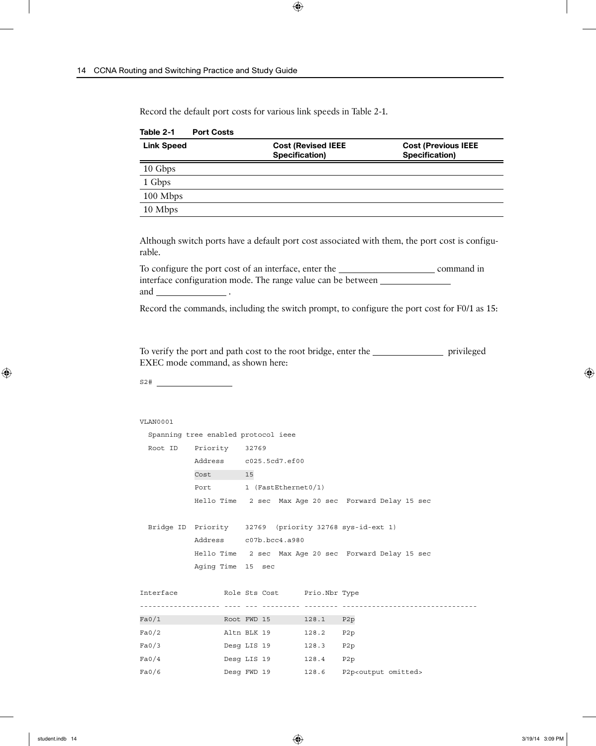Record the default port costs for various link speeds in Table 2-1.

| <b>Link Speed</b> | <b>Cost (Revised IEEE</b><br>Specification) | <b>Cost (Previous IEEE</b><br>Specification) |
|-------------------|---------------------------------------------|----------------------------------------------|
| 10 Gbps           |                                             |                                              |
| 1 Gbps            |                                             |                                              |
| 100 Mbps          |                                             |                                              |
| 10 Mbps           |                                             |                                              |

**Table 2-1 Port Costs**

Although switch ports have a default port cost associated with them, the port cost is configurable.

To configure the port cost of an interface, enter the command in command in interface configuration mode. The range value can be between and .

Record the commands, including the switch prompt, to configure the port cost for F0/1 as 15:

To verify the port and path cost to the root bridge, enter the <u>privileged</u> privileged EXEC mode command, as shown here:

S2#

#### VLAN0001

```
 Spanning tree enabled protocol ieee
  Root ID Priority 32769
          Address c025.5cd7.ef00
          Cost 15
          Port 1 (FastEthernet0/1)
           Hello Time 2 sec Max Age 20 sec Forward Delay 15 sec
  Bridge ID Priority 32769 (priority 32768 sys-id-ext 1)
           Address c07b.bcc4.a980
           Hello Time 2 sec Max Age 20 sec Forward Delay 15 sec
           Aging Time 15 sec
Interface Role Sts Cost Prio.Nbr Type
------------------- ---- --- --------- -------- --------------------------------
Fa0/1 Root FWD 15 128.1 P2p
Fa0/2 Altn BLK 19 128.2 P2p
Fa0/3 Desg LIS 19 128.3 P2p
Fa0/4 Desg LIS 19 128.4 P2p
Fa0/6 Desg FWD 19 128.6 P2p<output omitted>
```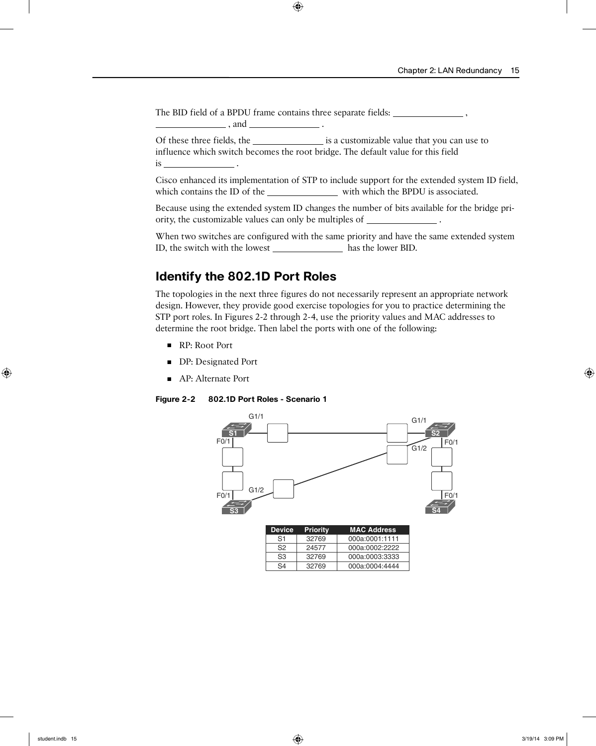The BID field of a BPDU frame contains three separate fields: \_\_\_\_\_\_\_\_\_\_\_\_\_\_\_\_\_\_\_,

Of these three fields, the is a customizable value that you can use to influence which switch becomes the root bridge. The default value for this field is .

Cisco enhanced its implementation of STP to include support for the extended system ID field, which contains the ID of the with which the BPDU is associated.

Because using the extended system ID changes the number of bits available for the bridge priority, the customizable values can only be multiples of \_

When two switches are configured with the same priority and have the same extended system ID, the switch with the lowest \_\_\_\_\_\_\_\_\_\_\_\_\_\_\_\_\_ has the lower BID.

#### **Identify the 802.1D Port Roles**

 $\qquad \qquad$ , and  $\qquad \qquad$ .

The topologies in the next three figures do not necessarily represent an appropriate network design. However, they provide good exercise topologies for you to practice determining the STP port roles. In Figures 2-2 through 2-4, use the priority values and MAC addresses to determine the root bridge. Then label the ports with one of the following:

- RP: Root Port
- DP: Designated Port
- AP: Alternate Port

#### **Figure 2-2 802.1D Port Roles - Scenario 1**



| <b>Device</b> | <b>Priority</b> | <b>MAC Address</b> |
|---------------|-----------------|--------------------|
| S1            | 32769           | 000a:0001:1111     |
| S2            | 24577           | 000a:0002:2222     |
| S3            | 32769           | 000a:0003:3333     |
| S4            | 32769           | 000a:0004:4444     |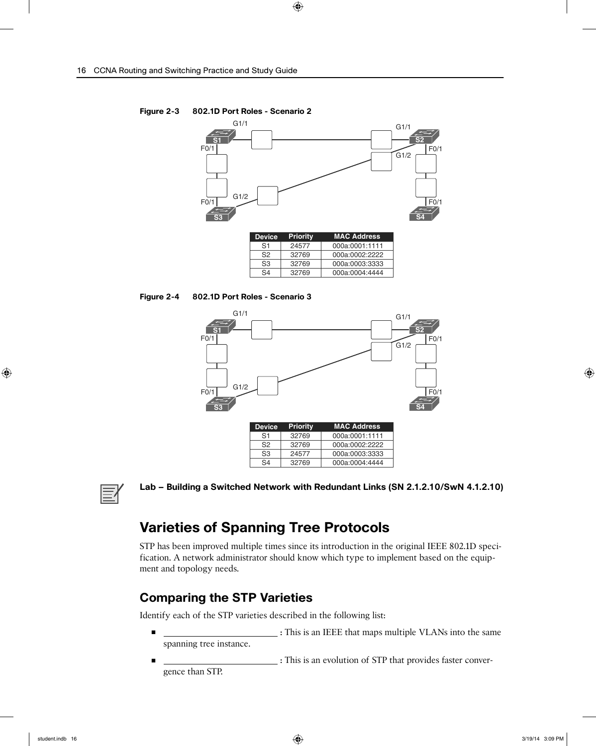

000a:0004:4444

32769

**Figure 2-3 802.1D Port Roles - Scenario 2**





| <b>Device</b>  | <b>Priority</b> | <b>MAC Address</b> |
|----------------|-----------------|--------------------|
| S1             | 32769           | 000a:0001:1111     |
| S <sub>2</sub> | 32769           | 000a:0002:2222     |
| S3             | 24577           | 000a:0003:3333     |
| S4             | 32769           | 000a:0004:4444     |



**Lab – Building a Switched Network with Redundant Links (SN 2.1.2.10/SwN 4.1.2.10)**

# **Varieties of Spanning Tree Protocols**

STP has been improved multiple times since its introduction in the original IEEE 802.1D specification. A network administrator should know which type to implement based on the equipment and topology needs.

### **Comparing the STP Varieties**

Identify each of the STP varieties described in the following list:

- **<u>the same of the same of the same of the same</u>** is the same of the same of the same of the same of the same of the same of the same of the same of the same of the same of the same of the same of the same of the same of spanning tree instance.
- **:** This is an evolution of STP that provides faster convergence than STP.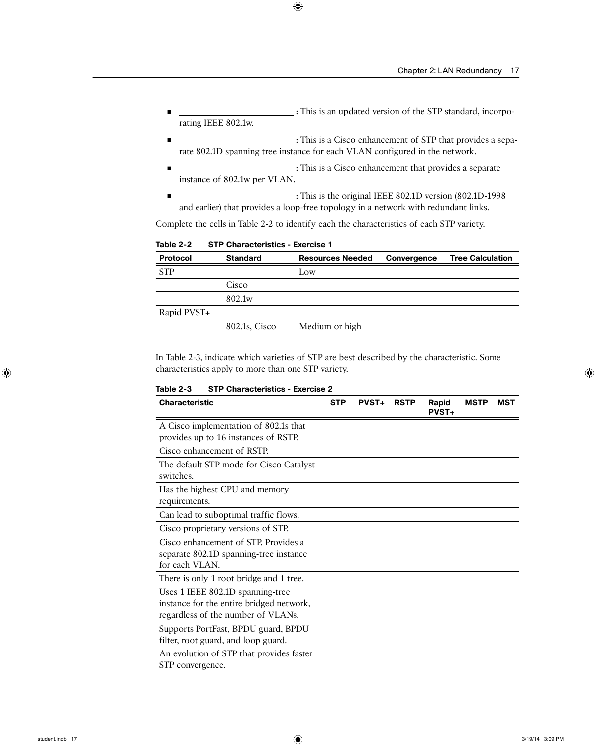- **1 i.e. i.e. i.e. i.e. i.e. i.e. i.e. i.e. i.e. i.e. i.e. i.e. i.e. i.e. i.e. i.e. i.e. i.e. i.e. i.e. i.e. i.e. i.e. i.e. i.e. i.e. i.e. i.e. i.e. i.e. i.e.** rating IEEE 802.1w.
- **:** This is a Cisco enhancement of STP that provides a separate 802.1D spanning tree instance for each VLAN configured in the network.
- **<u>included</u> included included included included included included included included included included included included included included included included included included include** instance of 802.1w per VLAN.
- **:** This is the original IEEE 802.1D version (802.1D-1998 and earlier) that provides a loop-free topology in a network with redundant links.

Complete the cells in Table 2-2 to identify each the characteristics of each STP variety.

| Table 2-2<br><b>STP Characteristics - Exercise 1</b> |  |
|------------------------------------------------------|--|
|------------------------------------------------------|--|

| <b>Protocol</b> | <b>Standard</b>    | <b>Resources Needed</b> | Convergence | <b>Tree Calculation</b> |
|-----------------|--------------------|-------------------------|-------------|-------------------------|
| <b>STP</b>      |                    | Low                     |             |                         |
|                 | Cisco              |                         |             |                         |
|                 | 802.1 <sub>w</sub> |                         |             |                         |
| Rapid PVST+     |                    |                         |             |                         |
|                 | 802.1s, Cisco      | Medium or high          |             |                         |
|                 |                    |                         |             |                         |

In Table 2-3, indicate which varieties of STP are best described by the characteristic. Some characteristics apply to more than one STP variety.

**Table 2-3 STP Characteristics - Exercise 2**

| <b>Characteristic</b>                                                                                              | <b>STP</b> | <b>PVST+</b> | <b>RSTP</b> | Rapid<br><b>PVST+</b> | <b>MSTP</b> | MST |
|--------------------------------------------------------------------------------------------------------------------|------------|--------------|-------------|-----------------------|-------------|-----|
| A Cisco implementation of 802.1s that<br>provides up to 16 instances of RSTP.                                      |            |              |             |                       |             |     |
| Cisco enhancement of RSTP.                                                                                         |            |              |             |                       |             |     |
| The default STP mode for Cisco Catalyst<br>switches.                                                               |            |              |             |                       |             |     |
| Has the highest CPU and memory<br>requirements.                                                                    |            |              |             |                       |             |     |
| Can lead to suboptimal traffic flows.                                                                              |            |              |             |                       |             |     |
| Cisco proprietary versions of STP.                                                                                 |            |              |             |                       |             |     |
| Cisco enhancement of STP. Provides a<br>separate 802.1D spanning-tree instance<br>for each VLAN.                   |            |              |             |                       |             |     |
| There is only 1 root bridge and 1 tree.                                                                            |            |              |             |                       |             |     |
| Uses 1 IEEE 802.1D spanning-tree<br>instance for the entire bridged network,<br>regardless of the number of VLANs. |            |              |             |                       |             |     |
| Supports PortFast, BPDU guard, BPDU<br>filter, root guard, and loop guard.                                         |            |              |             |                       |             |     |
| An evolution of STP that provides faster<br>STP convergence.                                                       |            |              |             |                       |             |     |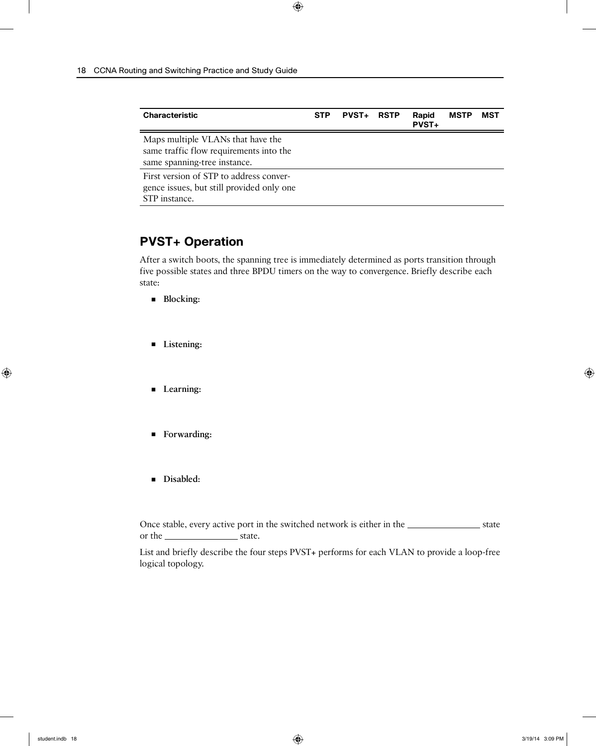| <b>Characteristic</b>                                                                                        | <b>STP</b> | <b>PVST+</b> | <b>RSTP</b> | Rapid<br><b>PVST+</b> | <b>MSTP</b> | MST |
|--------------------------------------------------------------------------------------------------------------|------------|--------------|-------------|-----------------------|-------------|-----|
| Maps multiple VLANs that have the<br>same traffic flow requirements into the<br>same spanning-tree instance. |            |              |             |                       |             |     |
| First version of STP to address conver-<br>gence issues, but still provided only one<br>STP instance.        |            |              |             |                       |             |     |

### **PVST+ Operation**

After a switch boots, the spanning tree is immediately determined as ports transition through five possible states and three BPDU timers on the way to convergence. Briefly describe each state:

- **Blocking:**
- **Listening:**
- **Learning:**
- **Forwarding:**
- **Disabled:**

Once stable, every active port in the switched network is either in the state state or the state.

List and briefly describe the four steps PVST+ performs for each VLAN to provide a loop-free logical topology.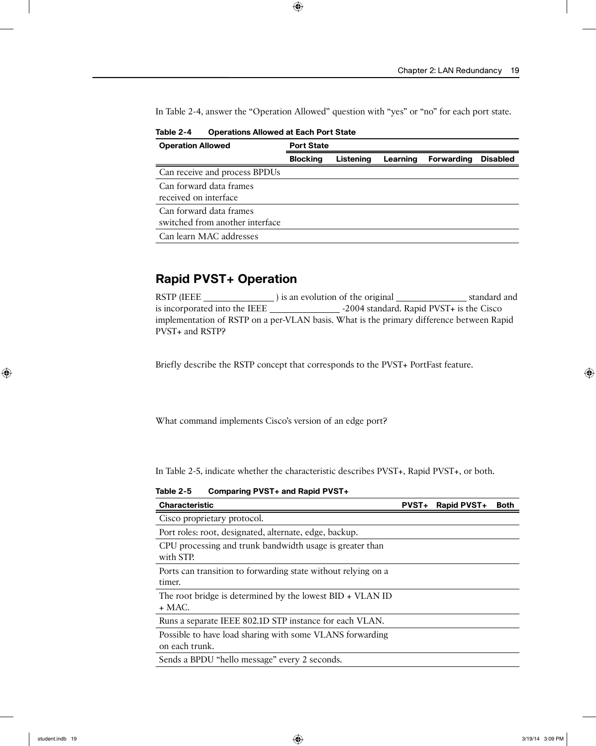In Table 2-4, answer the "Operation Allowed" question with "yes" or "no" for each port state.

| <b>Operation Allowed</b>        | <b>Port State</b> |           |          |                   |                 |
|---------------------------------|-------------------|-----------|----------|-------------------|-----------------|
|                                 | <b>Blocking</b>   | Listening | Learning | <b>Forwarding</b> | <b>Disabled</b> |
| Can receive and process BPDUs   |                   |           |          |                   |                 |
| Can forward data frames         |                   |           |          |                   |                 |
| received on interface           |                   |           |          |                   |                 |
| Can forward data frames         |                   |           |          |                   |                 |
| switched from another interface |                   |           |          |                   |                 |
| Can learn MAC addresses         |                   |           |          |                   |                 |

**Table 2-4 Operations Allowed at Each Port State**

#### **Rapid PVST+ Operation**

RSTP (IEEE ) is an evolution of the original standard and is incorporated into the IEEE -2004 standard. Rapid PVST+ is the Cisco implementation of RSTP on a per-VLAN basis. What is the primary difference between Rapid PVST+ and RSTP?

Briefly describe the RSTP concept that corresponds to the PVST+ PortFast feature.

What command implements Cisco's version of an edge port?

In Table 2-5, indicate whether the characteristic describes PVST+, Rapid PVST+, or both.

**Table 2-5 Comparing PVST+ and Rapid PVST+**

| <b>Characteristic</b>                                                   | <b>PVST+</b> | Rapid PVST+ | <b>Both</b> |
|-------------------------------------------------------------------------|--------------|-------------|-------------|
| Cisco proprietary protocol.                                             |              |             |             |
| Port roles: root, designated, alternate, edge, backup.                  |              |             |             |
| CPU processing and trunk bandwidth usage is greater than<br>with STP.   |              |             |             |
| Ports can transition to forwarding state without relying on a<br>timer. |              |             |             |
| The root bridge is determined by the lowest $BID + VLAN ID$<br>$+$ MAC. |              |             |             |
| Runs a separate IEEE 802.1D STP instance for each VLAN.                 |              |             |             |
| Possible to have load sharing with some VLANS forwarding                |              |             |             |
| on each trunk.                                                          |              |             |             |
| Sends a BPDU "hello message" every 2 seconds.                           |              |             |             |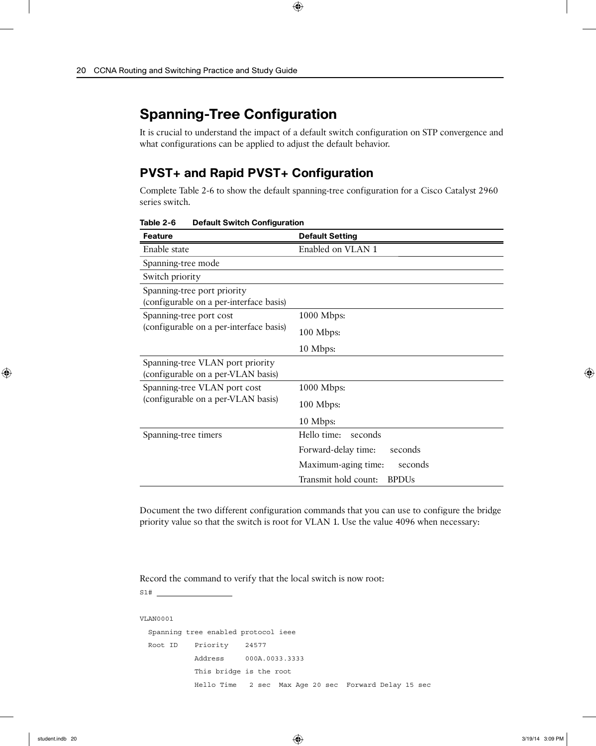# **Spanning-Tree Configuration**

It is crucial to understand the impact of a default switch configuration on STP convergence and what configurations can be applied to adjust the default behavior.

### **PVST+ and Rapid PVST+ Configuration**

Complete Table 2-6 to show the default spanning-tree configuration for a Cisco Catalyst 2960 series switch.

| <b>Feature</b>                                                         | <b>Default Setting</b>               |  |
|------------------------------------------------------------------------|--------------------------------------|--|
| Enable state                                                           | Enabled on VLAN 1                    |  |
| Spanning-tree mode                                                     |                                      |  |
| Switch priority                                                        |                                      |  |
| Spanning-tree port priority<br>(configurable on a per-interface basis) |                                      |  |
| Spanning-tree port cost                                                | $1000$ Mbps:                         |  |
| (configurable on a per-interface basis)                                | 100 Mbps:                            |  |
|                                                                        | 10 Mbps:                             |  |
| Spanning-tree VLAN port priority<br>(configurable on a per-VLAN basis) |                                      |  |
| Spanning-tree VLAN port cost                                           | $1000$ Mbps:                         |  |
| (configurable on a per-VLAN basis)                                     | 100 Mbps:                            |  |
|                                                                        | 10 Mbps:                             |  |
| Spanning-tree timers                                                   | Hello time:<br>seconds               |  |
|                                                                        | Forward-delay time:<br>seconds       |  |
|                                                                        | Maximum-aging time:<br>seconds       |  |
|                                                                        | Transmit hold count:<br><b>BPDUs</b> |  |

**Table 2-6 Default Switch Configuration**

Document the two different configuration commands that you can use to configure the bridge priority value so that the switch is root for VLAN 1. Use the value 4096 when necessary:

Record the command to verify that the local switch is now root:

S1#

```
VLAN0001
  Spanning tree enabled protocol ieee
  Root ID Priority 24577
             Address 000A.0033.3333
             This bridge is the root
             Hello Time 2 sec Max Age 20 sec Forward Delay 15 sec
```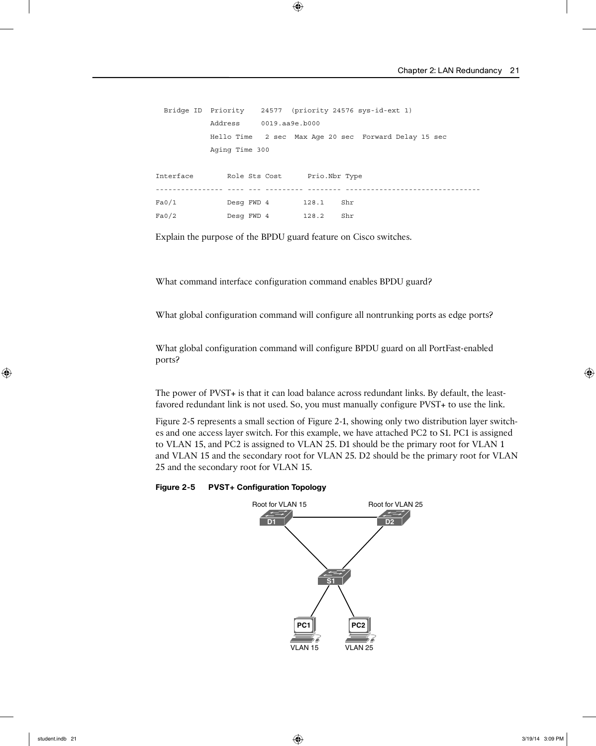```
 Bridge ID Priority 24577 (priority 24576 sys-id-ext 1)
            Address 0019.aa9e.b000
            Hello Time 2 sec Max Age 20 sec Forward Delay 15 sec
            Aging Time 300
Interface Role Sts Cost Prio.Nbr Type
---------------- ---- --- --------- -------- --------------------------------
Fa0/1 Desg FWD 4 128.1 Shr
Fa0/2 Desg FWD 4 128.2 Shr
```
Explain the purpose of the BPDU guard feature on Cisco switches.

What command interface configuration command enables BPDU guard?

What global configuration command will configure all nontrunking ports as edge ports?

What global configuration command will configure BPDU guard on all PortFast-enabled ports?

The power of PVST+ is that it can load balance across redundant links. By default, the leastfavored redundant link is not used. So, you must manually configure PVST+ to use the link.

Figure 2-5 represents a small section of Figure 2-1, showing only two distribution layer switches and one access layer switch. For this example, we have attached PC2 to S1. PC1 is assigned to VLAN 15, and PC2 is assigned to VLAN 25. D1 should be the primary root for VLAN 1 and VLAN 15 and the secondary root for VLAN 25. D2 should be the primary root for VLAN 25 and the secondary root for VLAN 15.

#### **Figure 2-5 PVST+ Configuration Topology**

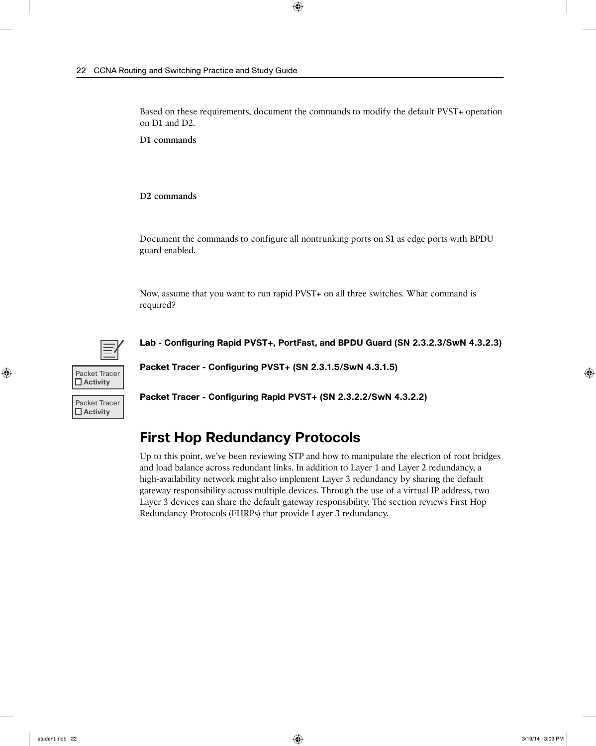Based on these requirements, document the commands to modify the default PVST+ operation on D1 and D2.

**D1 commands**

**D2 commands**

Document the commands to configure all nontrunking ports on S1 as edge ports with BPDU guard enabled.

Now, assume that you want to run rapid PVST+ on all three switches. What command is required?



**Lab - Configuring Rapid PVST+, PortFast, and BPDU Guard (SN 2.3.2.3/SwN 4.3.2.3)**



Packet Tracer  **Activity**

**Packet Tracer - Configuring PVST+ (SN 2.3.1.5/SwN 4.3.1.5)**

**Packet Tracer - Configuring Rapid PVST+ (SN 2.3.2.2/SwN 4.3.2.2)**

### **First Hop Redundancy Protocols**

Up to this point, we've been reviewing STP and how to manipulate the election of root bridges and load balance across redundant links. In addition to Layer 1 and Layer 2 redundancy, a high-availability network might also implement Layer 3 redundancy by sharing the default gateway responsibility across multiple devices. Through the use of a virtual IP address, two Layer 3 devices can share the default gateway responsibility. The section reviews First Hop Redundancy Protocols (FHRPs) that provide Layer 3 redundancy.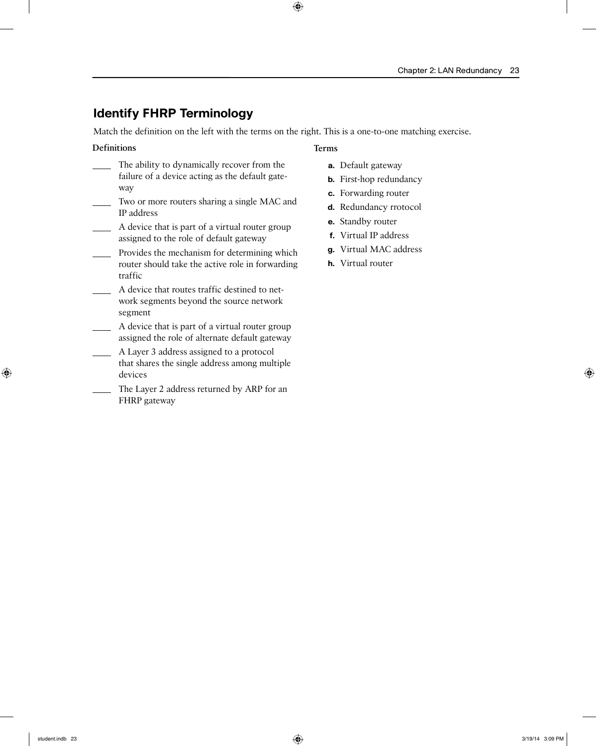### **Identify FHRP Terminology**

Match the definition on the left with the terms on the right. This is a one-to-one matching exercise.

#### **Definitions**

- The ability to dynamically recover from the failure of a device acting as the default gateway
- Two or more routers sharing a single MAC and IP address
- A device that is part of a virtual router group assigned to the role of default gateway
- **Provides the mechanism for determining which** router should take the active role in forwarding traffic
- A device that routes traffic destined to network segments beyond the source network segment
- A device that is part of a virtual router group assigned the role of alternate default gateway
- A Layer 3 address assigned to a protocol that shares the single address among multiple devices
- The Layer 2 address returned by ARP for an FHRP gateway

#### **Terms**

- **a.** Default gateway
- **b.** First-hop redundancy
- **c.** Forwarding router
- **d.** Redundancy rrotocol
- **e.** Standby router
- **f.** Virtual IP address
- **g.** Virtual MAC address
- **h.** Virtual router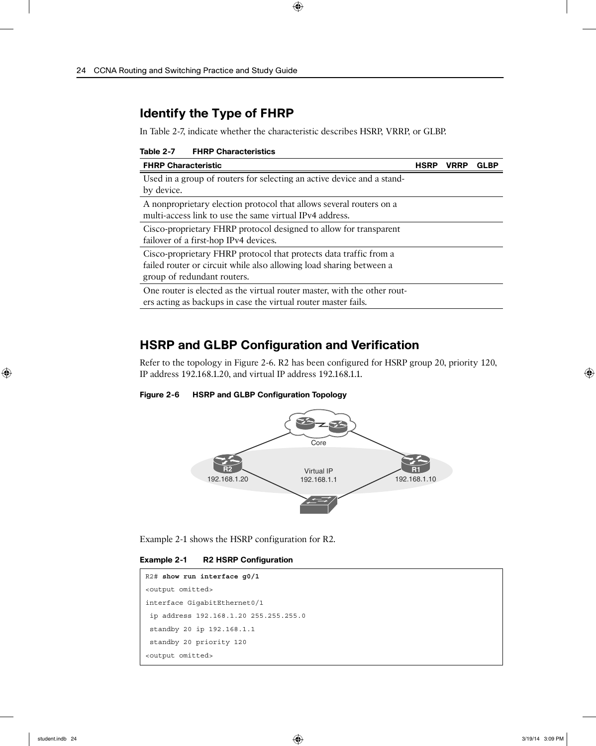### **Identify the Type of FHRP**

In Table 2-7, indicate whether the characteristic describes HSRP, VRRP, or GLBP.

| Table 2-7 | <b>FHRP Characteristics</b> |  |
|-----------|-----------------------------|--|
|-----------|-----------------------------|--|

| <b>FHRP Characteristic</b>                                                                                                                                              | VRRP |  |
|-------------------------------------------------------------------------------------------------------------------------------------------------------------------------|------|--|
| Used in a group of routers for selecting an active device and a stand-<br>by device.                                                                                    |      |  |
| A nonproprietary election protocol that allows several routers on a<br>multi-access link to use the same virtual IPv4 address.                                          |      |  |
| Cisco-proprietary FHRP protocol designed to allow for transparent<br>failover of a first-hop IPv4 devices.                                                              |      |  |
| Cisco-proprietary FHRP protocol that protects data traffic from a<br>failed router or circuit while also allowing load sharing between a<br>group of redundant routers. |      |  |
| One router is elected as the virtual router master, with the other rout-<br>ers acting as backups in case the virtual router master fails.                              |      |  |

### **HSRP and GLBP Configuration and Verification**

Refer to the topology in Figure 2-6. R2 has been configured for HSRP group 20, priority 120, IP address 192.168.1.20, and virtual IP address 192.168.1.1.

**Figure 2-6 HSRP and GLBP Configuration Topology**



Example 2-1 shows the HSRP configuration for R2.

**Example 2-1 R2 HSRP Configuration**

| $R2#$ show run interface q0/1         |
|---------------------------------------|
| <output omitted=""></output>          |
| interface GigabitEthernet0/1          |
| ip address 192.168.1.20 255.255.255.0 |
| standby 20 ip 192.168.1.1             |
| standby 20 priority 120               |
| <output omitted=""></output>          |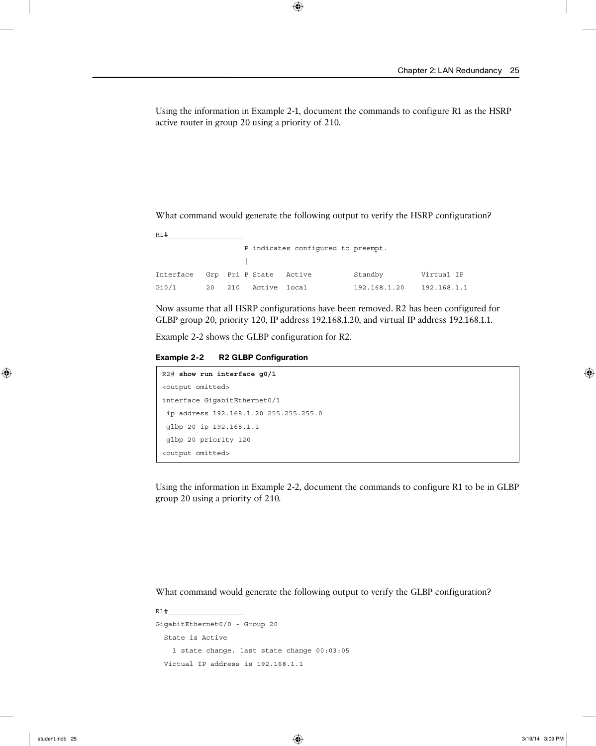Using the information in Example 2-1, document the commands to configure R1 as the HSRP active router in group 20 using a priority of 210.

What command would generate the following output to verify the HSRP configuration?

| R1#       |    |     |                 |                                    |              |             |
|-----------|----|-----|-----------------|------------------------------------|--------------|-------------|
|           |    |     |                 | P indicates configured to preempt. |              |             |
|           |    |     |                 |                                    |              |             |
| Interface |    |     | Grp Pri P State | Active                             | Standby      | Virtual IP  |
| Gi0/1     | 20 | 210 | Active          | local                              | 192.168.1.20 | 192.168.1.1 |

Now assume that all HSRP configurations have been removed. R2 has been configured for GLBP group 20, priority 120, IP address 192.168.1.20, and virtual IP address 192.168.1.1.

Example 2-2 shows the GLBP configuration for R2.

**Example 2-2 R2 GLBP Configuration**

```
R2# show run interface g0/1
<output omitted>
interface GigabitEthernet0/1
 ip address 192.168.1.20 255.255.255.0
 glbp 20 ip 192.168.1.1
 glbp 20 priority 120
<output omitted>
```
Using the information in Example 2-2, document the commands to configure R1 to be in GLBP group 20 using a priority of 210.

What command would generate the following output to verify the GLBP configuration?

```
R1#
GigabitEthernet0/0 - Group 20
   State is Active
     1 state change, last state change 00:03:05
   Virtual IP address is 192.168.1.1
```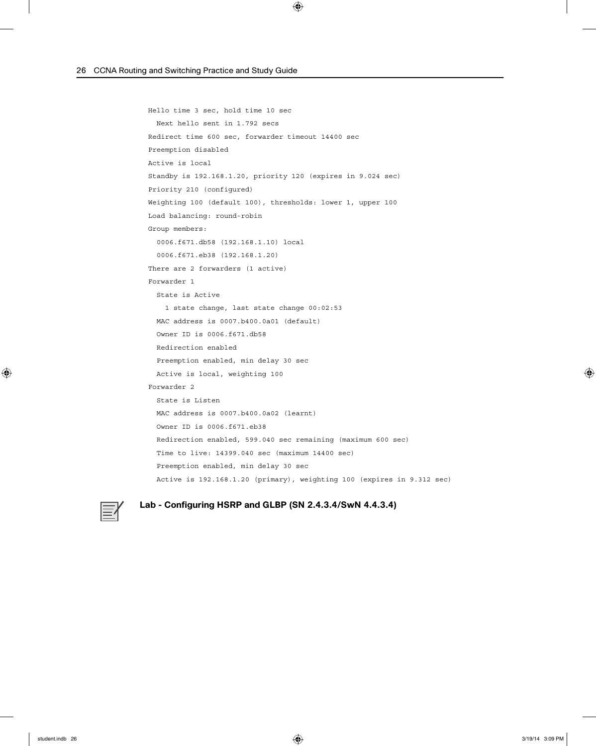```
 Hello time 3 sec, hold time 10 sec
  Next hello sent in 1.792 secs
 Redirect time 600 sec, forwarder timeout 14400 sec
 Preemption disabled
 Active is local
 Standby is 192.168.1.20, priority 120 (expires in 9.024 sec)
 Priority 210 (configured)
 Weighting 100 (default 100), thresholds: lower 1, upper 100
 Load balancing: round-robin
 Group members:
   0006.f671.db58 (192.168.1.10) local
   0006.f671.eb38 (192.168.1.20)
 There are 2 forwarders (1 active)
 Forwarder 1
   State is Active
     1 state change, last state change 00:02:53
   MAC address is 0007.b400.0a01 (default)
   Owner ID is 0006.f671.db58
   Redirection enabled
   Preemption enabled, min delay 30 sec
   Active is local, weighting 100
 Forwarder 2
   State is Listen
  MAC address is 0007.b400.0a02 (learnt)
   Owner ID is 0006.f671.eb38
   Redirection enabled, 599.040 sec remaining (maximum 600 sec)
   Time to live: 14399.040 sec (maximum 14400 sec)
   Preemption enabled, min delay 30 sec
   Active is 192.168.1.20 (primary), weighting 100 (expires in 9.312 sec)
```


#### **Lab - Configuring HSRP and GLBP (SN 2.4.3.4/SwN 4.4.3.4)**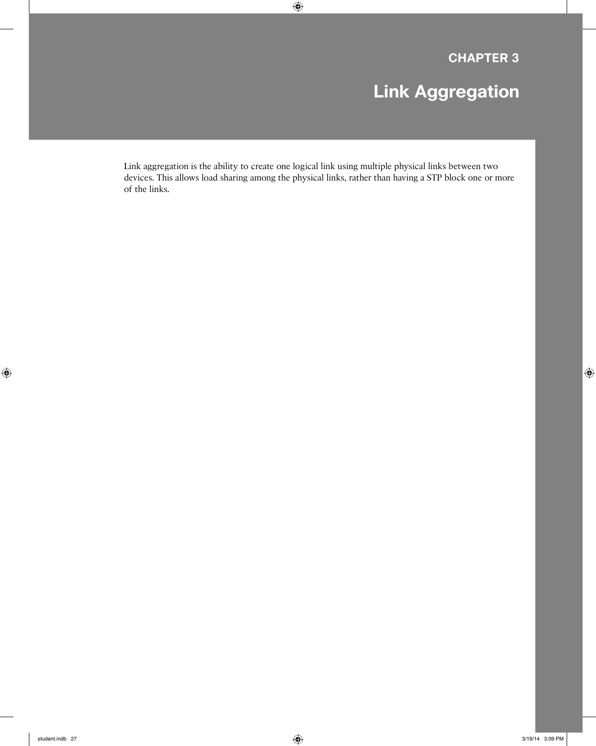# **Link Aggregation**

Link aggregation is the ability to create one logical link using multiple physical links between two devices. This allows load sharing among the physical links, rather than having a STP block one or more of the links.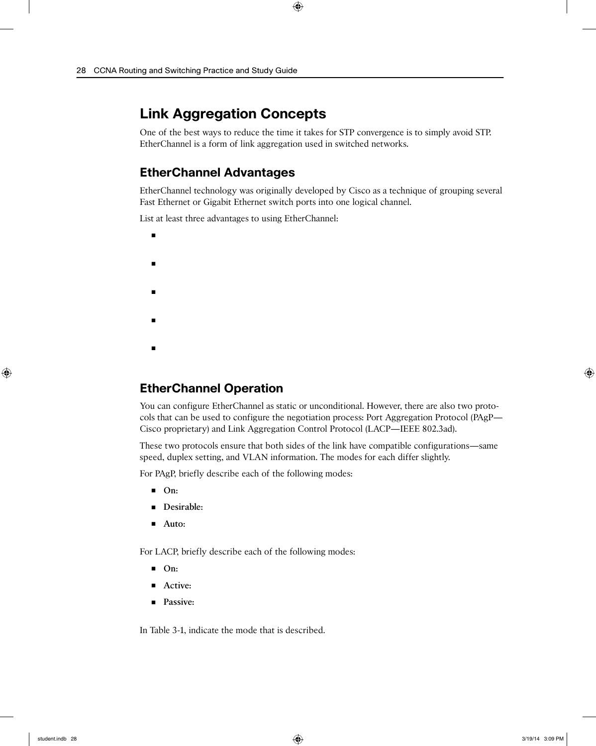# **Link Aggregation Concepts**

One of the best ways to reduce the time it takes for STP convergence is to simply avoid STP. EtherChannel is a form of link aggregation used in switched networks.

### **EtherChannel Advantages**

EtherChannel technology was originally developed by Cisco as a technique of grouping several Fast Ethernet or Gigabit Ethernet switch ports into one logical channel.

List at least three advantages to using EtherChannel:

- ■ ■ ■
- ■

### **EtherChannel Operation**

You can configure EtherChannel as static or unconditional. However, there are also two protocols that can be used to configure the negotiation process: Port Aggregation Protocol (PAgP— Cisco proprietary) and Link Aggregation Control Protocol (LACP—IEEE 802.3ad).

These two protocols ensure that both sides of the link have compatible configurations—same speed, duplex setting, and VLAN information. The modes for each differ slightly.

For PAgP, briefly describe each of the following modes:

- **On:**
- **Desirable:**
- **Auto:**

For LACP, briefly describe each of the following modes:

- **On:**
- **Active:**
- **Passive:**

In Table 3-1, indicate the mode that is described.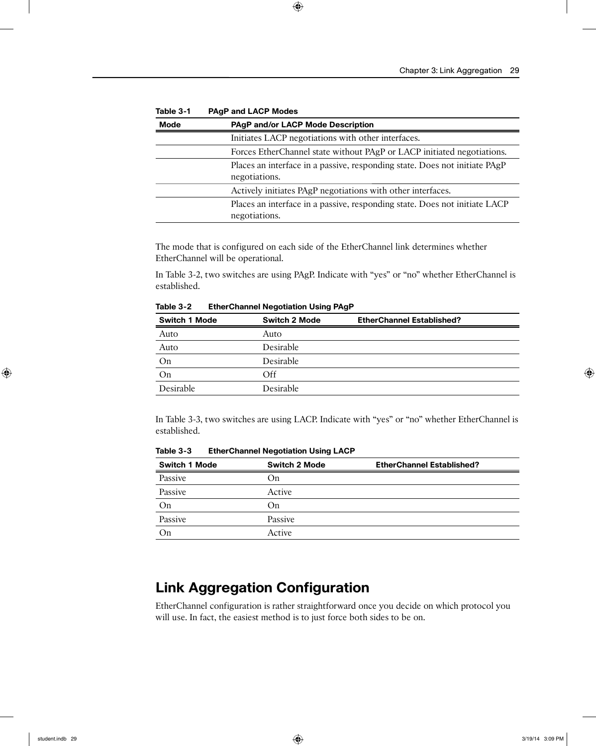| .           | . <sub>.</sub> .  =                                                                         |
|-------------|---------------------------------------------------------------------------------------------|
| <b>Mode</b> | <b>PAgP and/or LACP Mode Description</b>                                                    |
|             | Initiates LACP negotiations with other interfaces.                                          |
|             | Forces EtherChannel state without PAgP or LACP initiated negotiations.                      |
|             | Places an interface in a passive, responding state. Does not initiate PAgP<br>negotiations. |
|             | Actively initiates PAgP negotiations with other interfaces.                                 |
|             | Places an interface in a passive, responding state. Does not initiate LACP<br>negotiations. |

**Table 3-1 PAgP and LACP Modes**

The mode that is configured on each side of the EtherChannel link determines whether EtherChannel will be operational.

In Table 3-2, two switches are using PAgP. Indicate with "yes" or "no" whether EtherChannel is established.

| <b>Switch 2 Mode</b> | <b>EtherChannel Established?</b> |
|----------------------|----------------------------------|
| Auto                 |                                  |
| <b>Desirable</b>     |                                  |
| <b>Desirable</b>     |                                  |
| Off                  |                                  |
| Desirable            |                                  |
|                      |                                  |

**Table 3-2 EtherChannel Negotiation Using PAgP**

In Table 3-3, two switches are using LACP. Indicate with "yes" or "no" whether EtherChannel is established.

| <b>Switch 1 Mode</b> | <b>Switch 2 Mode</b> | <b>EtherChannel Established?</b> |
|----------------------|----------------------|----------------------------------|
| Passive              | On                   |                                  |
| Passive              | Active               |                                  |
| On                   | On                   |                                  |
| Passive              | Passive              |                                  |
| On                   | Active               |                                  |

**Table 3-3 EtherChannel Negotiation Using LACP**

# **Link Aggregation Configuration**

EtherChannel configuration is rather straightforward once you decide on which protocol you will use. In fact, the easiest method is to just force both sides to be on.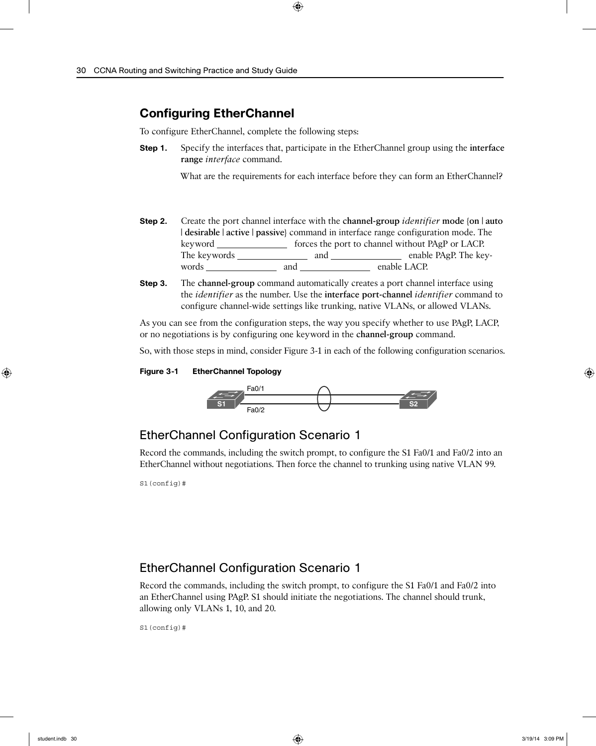### **Configuring EtherChannel**

To configure EtherChannel, complete the following steps:

**Step 1.** Specify the interfaces that, participate in the EtherChannel group using the **interface range** *interface* command.

What are the requirements for each interface before they can form an EtherChannel?

- **Step 2.** Create the port channel interface with the **channel-group** *identifier* **mode** {**on** | **auto** | **desirable** | **active** | **passive**} command in interface range configuration mode. The keyword \_\_\_\_\_\_\_\_\_\_\_\_\_\_\_\_ forces the port to channel without PAgP or LACP. The keywords and enable PAgP. The keywords and and enable LACP.
- **Step 3.** The **channel-group** command automatically creates a port channel interface using the *identifier* as the number. Use the **interface port-channel** *identifier* command to configure channel-wide settings like trunking, native VLANs, or allowed VLANs.

As you can see from the configuration steps, the way you specify whether to use PAgP, LACP, or no negotiations is by configuring one keyword in the **channel-group** command.

So, with those steps in mind, consider Figure 3-1 in each of the following configuration scenarios.

#### **Figure 3-1 EtherChannel Topology**



### EtherChannel Configuration Scenario 1

Record the commands, including the switch prompt, to configure the S1 Fa0/1 and Fa0/2 into an EtherChannel without negotiations. Then force the channel to trunking using native VLAN 99.

S1(config)#

#### EtherChannel Configuration Scenario 1

Record the commands, including the switch prompt, to configure the S1 Fa0/1 and Fa0/2 into an EtherChannel using PAgP. S1 should initiate the negotiations. The channel should trunk, allowing only VLANs 1, 10, and 20.

S1(config)#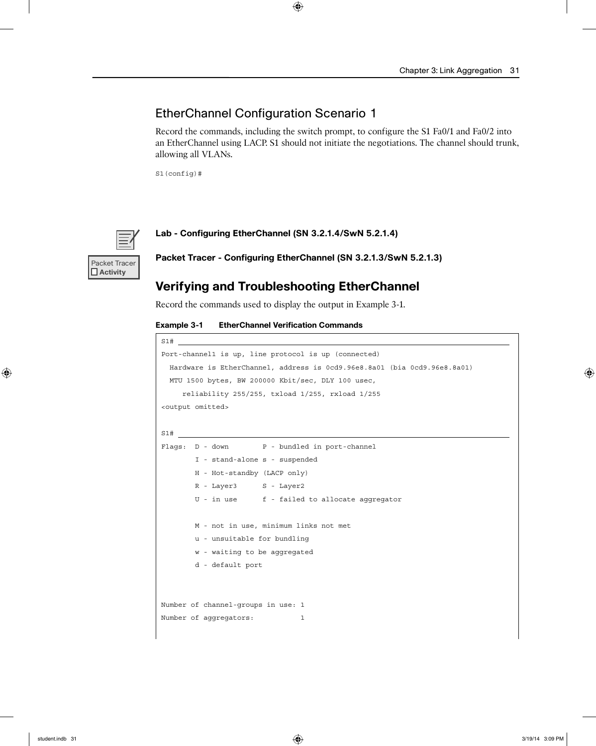#### EtherChannel Configuration Scenario 1

Record the commands, including the switch prompt, to configure the S1 Fa0/1 and Fa0/2 into an EtherChannel using LACP. S1 should not initiate the negotiations. The channel should trunk, allowing all VLANs.

S1(config)#



 **Activity**

**Lab - Configuring EtherChannel (SN 3.2.1.4/SwN 5.2.1.4)**

**Packet Tracer - Configuring EtherChannel (SN 3.2.1.3/SwN 5.2.1.3)**

#### **Verifying and Troubleshooting EtherChannel**

Record the commands used to display the output in Example 3-1.

**Example 3-1 EtherChannel Verification Commands**

| S1#<br><u> 1989 - Johann Stein, mars an deutscher Stein († 1958)</u>     |
|--------------------------------------------------------------------------|
| Port-channell is up, line protocol is up (connected)                     |
| Hardware is EtherChannel, address is 0cd9.96e8.8a01 (bia 0cd9.96e8.8a01) |
| MTU 1500 bytes, BW 200000 Kbit/sec, DLY 100 usec,                        |
| reliability 255/255, txload 1/255, rxload 1/255                          |
| <output omitted=""></output>                                             |
|                                                                          |
|                                                                          |
| Flaqs: D - down P - bundled in port-channel                              |
| I - stand-alone s - suspended                                            |
| H - Hot-standby (LACP only)                                              |
| R - Layer3 S - Layer2                                                    |
| U - in use f - failed to allocate aggregator                             |
|                                                                          |
| M - not in use, minimum links not met                                    |
| u - unsuitable for bundling                                              |
| w - waiting to be aggregated                                             |
| d - default port                                                         |
|                                                                          |
|                                                                          |
| Number of channel-groups in use: 1                                       |
| Number of aqqreqators:<br>1                                              |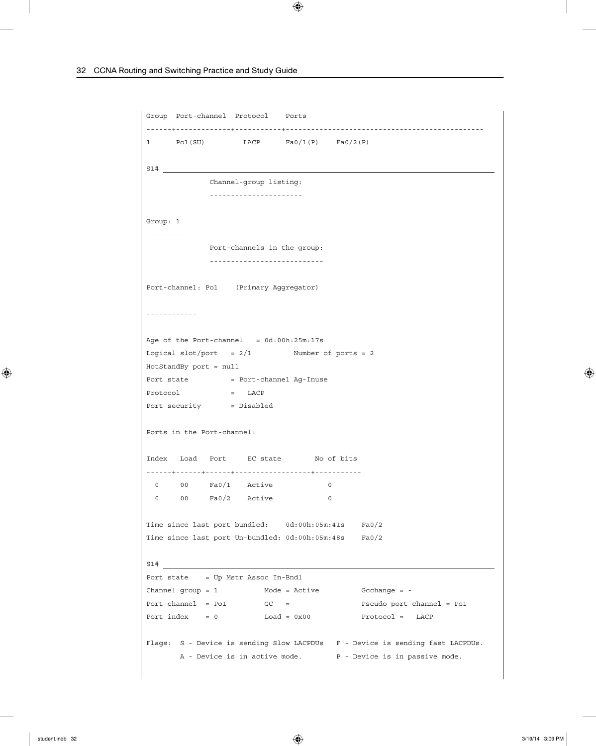```
Group Port-channel Protocol Ports
------+-------------+-----------+-----------------------------------------------
1 Pol(SU) LACP Fa0/1(P) Fa0/2(P)
S1# 
             Channel-group listing:
             ----------------------
Group: 1
----------
            Port-channels in the group:
             ---------------------------
Port-channel: Po1 (Primary Aggregator)
------------
Age of the Port-channel = 0d:00h:25m:17sLogical slot/port = 2/1 Number of ports = 2
HotStandBy port = null
Port state = Port-channel Ag-Inuse
Protocol = LACP
Port security = Disabled
Ports in the Port-channel:
Index Load Port EC state No of bits
------+------+------+------------------+-----------
 0 00 Fa0/1 Active 0
 0 00 Fa0/2 Active 0
Time since last port bundled: 0d:00h:05m:41s Fa0/2
Time since last port Un-bundled: 0d:00h:05m:48s Fa0/2
S1# 
Port state = Up Mstr Assoc In-Bndl
Channel group = 1 Mode = Active Gcchange = -
Port-channel = Po1 GC = - Pseudo port-channel = Po1
Port index = 0 Load = 0x00 Protocol = LACP
Flags: S - Device is sending Slow LACPDUs F - Device is sending fast LACPDUs.
     A - Device is in active mode. <br>P - Device is in passive mode.
```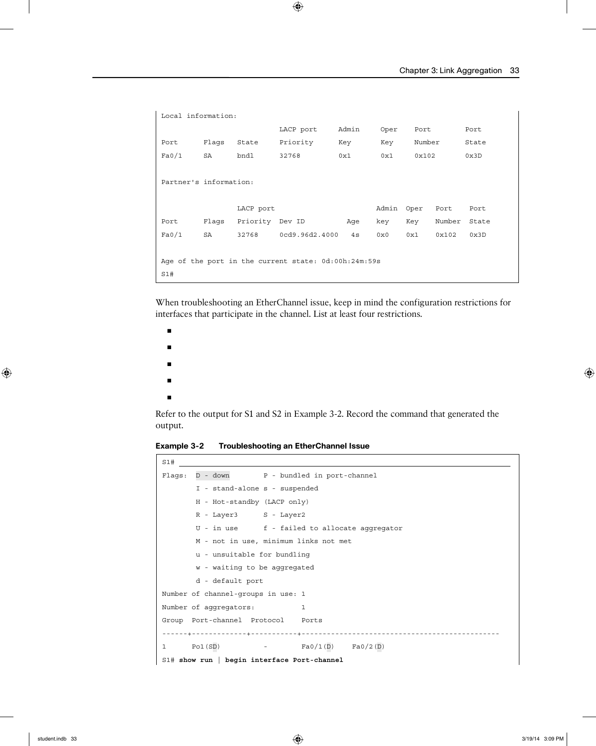```
Local information:
                    LACP port Admin Oper Port Port
Port Flags State Priority Key Key Number State
Fa0/1 SA bndl 32768 0x1 0x1 0x102 0x3D
Partner's information:
             LACP port Admin Oper Port Port
Port Flags Priority Dev ID Age key Key Number State
Fa0/1 SA 32768 0cd9.96d2.4000 4s 0x0 0x1 0x102 0x3D
Age of the port in the current state: 0d:00h:24m:59s
S1#
```
When troubleshooting an EtherChannel issue, keep in mind the configuration restrictions for interfaces that participate in the channel. List at least four restrictions.

- ■ ■ ■
- ■

Refer to the output for S1 and S2 in Example 3-2. Record the command that generated the output.

**Example 3-2 Troubleshooting an EtherChannel Issue**

| S1#                                           |
|-----------------------------------------------|
| Flags: D - down P - bundled in port-channel   |
| I - stand-alone s - suspended                 |
| H - Hot-standby (LACP only)                   |
| R - Layer3 S - Layer2                         |
| U - in use f - failed to allocate aggregator  |
| M - not in use, minimum links not met         |
| u - unsuitable for bundling                   |
| w - waiting to be aggregated                  |
| d - default port                              |
| Number of channel-groups in use: 1            |
| Number of aqqreqators:<br>$\mathbf{1}$        |
| Group Port-channel Protocol Ports             |
|                                               |
| 1 Pol(SD) $-$ Fa0/1(D) Fa0/2(D)               |
| $S1#$ show run   begin interface Port-channel |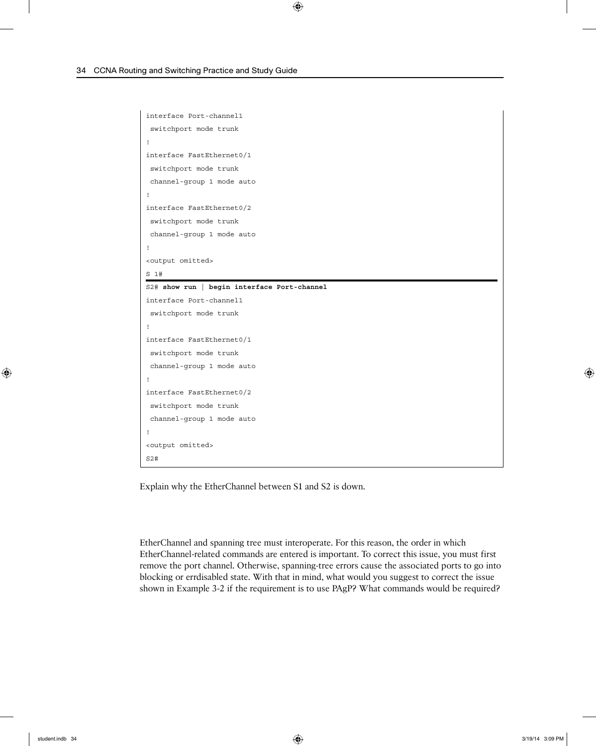```
interface Port-channel1
  switchport mode trunk
!
interface FastEthernet0/1
 switchport mode trunk
 channel-group 1 mode auto
!
interface FastEthernet0/2
  switchport mode trunk
 channel-group 1 mode auto
!
<output omitted>
S 1#
S2# show run | begin interface Port-channel
interface Port-channel1
  switchport mode trunk
!
interface FastEthernet0/1
 switchport mode trunk
 channel-group 1 mode auto
!
interface FastEthernet0/2
 switchport mode trunk
 channel-group 1 mode auto
!
<output omitted>
S2#
```
Explain why the EtherChannel between S1 and S2 is down.

EtherChannel and spanning tree must interoperate. For this reason, the order in which EtherChannel-related commands are entered is important. To correct this issue, you must first remove the port channel. Otherwise, spanning-tree errors cause the associated ports to go into blocking or errdisabled state. With that in mind, what would you suggest to correct the issue shown in Example 3-2 if the requirement is to use PAgP? What commands would be required?